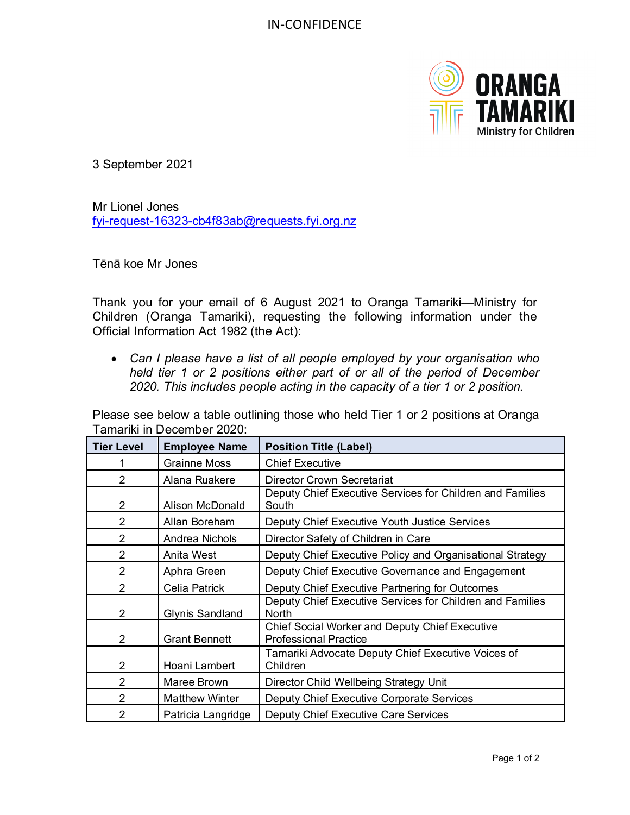

3 September 2021

Mr Lionel Jones [fyi-request-16323-cb4f83ab@requests.fyi.org.nz](mailto:fyi-request-16323-cb4f83ab@requests.fyi.org.nz)

Tēnā koe Mr Jones

Thank you for your email of 6 August 2021 to Oranga Tamariki—Ministry for Children (Oranga Tamariki), requesting the following information under the Official Information Act 1982 (the Act):

• *Can I please have a list of all people employed by your organisation who held tier 1 or 2 positions either part of or all of the period of December 2020. This includes people acting in the capacity of a tier 1 or 2 position.* 

Please see below a table outlining those who held Tier 1 or 2 positions at Oranga Tamariki in December 2020:

| <b>Tier Level</b> | <b>Employee Name</b>   | <b>Position Title (Label)</b>                                                  |
|-------------------|------------------------|--------------------------------------------------------------------------------|
|                   | <b>Grainne Moss</b>    | <b>Chief Executive</b>                                                         |
| $\mathcal{P}$     | Alana Ruakere          | <b>Director Crown Secretariat</b>                                              |
| 2                 | <b>Alison McDonald</b> | Deputy Chief Executive Services for Children and Families<br>South             |
| 2                 | Allan Boreham          | Deputy Chief Executive Youth Justice Services                                  |
| 2                 | Andrea Nichols         | Director Safety of Children in Care                                            |
| $\overline{2}$    | Anita West             | Deputy Chief Executive Policy and Organisational Strategy                      |
| $\mathcal{P}$     | Aphra Green            | Deputy Chief Executive Governance and Engagement                               |
| 2                 | Celia Patrick          | Deputy Chief Executive Partnering for Outcomes                                 |
| $\overline{2}$    | <b>Glynis Sandland</b> | Deputy Chief Executive Services for Children and Families<br>North             |
| 2                 | <b>Grant Bennett</b>   | Chief Social Worker and Deputy Chief Executive<br><b>Professional Practice</b> |
| $\overline{2}$    | Hoani Lambert          | Tamariki Advocate Deputy Chief Executive Voices of<br>Children                 |
| $\overline{2}$    | Maree Brown            | Director Child Wellbeing Strategy Unit                                         |
| 2                 | <b>Matthew Winter</b>  | Deputy Chief Executive Corporate Services                                      |
| 2                 | Patricia Langridge     | Deputy Chief Executive Care Services                                           |